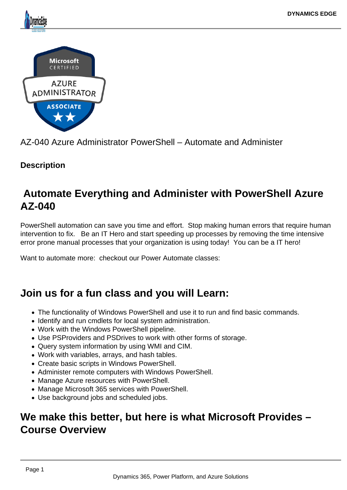

AZ-040 Azure Administrator PowerShell – Automate and Administer

## **Description**

# **Automate Everything and Administer with PowerShell Azure AZ-040**

PowerShell automation can save you time and effort. Stop making human errors that require human intervention to fix. Be an IT Hero and start speeding up processes by removing the time intensive error prone manual processes that your organization is using today! You can be a IT hero!

Want to automate more: checkout our Power Automate classes:

# **Join us for a fun class and you will Learn:**

- The functionality of Windows PowerShell and use it to run and find basic commands.
- Identify and run cmdlets for local system administration.
- Work with the Windows PowerShell pipeline.
- Use PSProviders and PSDrives to work with other forms of storage.
- Query system information by using WMI and CIM.
- Work with variables, arrays, and hash tables.
- Create basic scripts in Windows PowerShell.
- Administer remote computers with Windows PowerShell.
- Manage Azure resources with PowerShell.
- Manage Microsoft 365 services with PowerShell.
- Use background jobs and scheduled jobs.

# **We make this better, but here is what Microsoft Provides – Course Overview**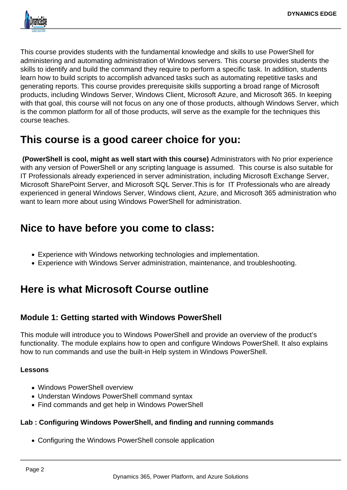

This course provides students with the fundamental knowledge and skills to use PowerShell for administering and automating administration of Windows servers. This course provides students the skills to identify and build the command they require to perform a specific task. In addition, students learn how to build scripts to accomplish advanced tasks such as automating repetitive tasks and generating reports. This course provides prerequisite skills supporting a broad range of Microsoft products, including Windows Server, Windows Client, Microsoft Azure, and Microsoft 365. In keeping with that goal, this course will not focus on any one of those products, although Windows Server, which is the common platform for all of those products, will serve as the example for the techniques this course teaches.

# **This course is a good career choice for you:**

 **(PowerShell is cool, might as well start with this course)** Administrators with No prior experience with any version of PowerShell or any scripting language is assumed. This course is also suitable for IT Professionals already experienced in server administration, including Microsoft Exchange Server, Microsoft SharePoint Server, and Microsoft SQL Server.This is for IT Professionals who are already experienced in general Windows Server, Windows client, Azure, and Microsoft 365 administration who want to learn more about using Windows PowerShell for administration.

# **Nice to have before you come to class:**

- Experience with Windows networking technologies and implementation.
- Experience with Windows Server administration, maintenance, and troubleshooting.

# **Here is what Microsoft Course outline**

## **Module 1: Getting started with Windows PowerShell**

This module will introduce you to Windows PowerShell and provide an overview of the product's functionality. The module explains how to open and configure Windows PowerShell. It also explains how to run commands and use the built-in Help system in Windows PowerShell.

## **Lessons**

- Windows PowerShell overview
- Understan Windows PowerShell command syntax
- Find commands and get help in Windows PowerShell

## **Lab : Configuring Windows PowerShell, and finding and running commands**

Configuring the Windows PowerShell console application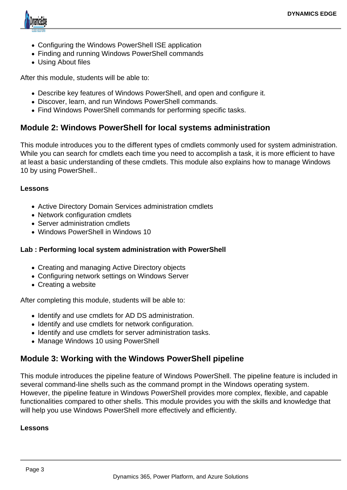

- Configuring the Windows PowerShell ISE application
- Finding and running Windows PowerShell commands
- Using About files

After this module, students will be able to:

- Describe key features of Windows PowerShell, and open and configure it.
- Discover, learn, and run Windows PowerShell commands.
- Find Windows PowerShell commands for performing specific tasks.

## **Module 2: Windows PowerShell for local systems administration**

This module introduces you to the different types of cmdlets commonly used for system administration. While you can search for cmdlets each time you need to accomplish a task, it is more efficient to have at least a basic understanding of these cmdlets. This module also explains how to manage Windows 10 by using PowerShell..

### **Lessons**

- Active Directory Domain Services administration cmdlets
- Network configuration cmdlets
- Server administration cmdlets
- Windows PowerShell in Windows 10

## **Lab : Performing local system administration with PowerShell**

- Creating and managing Active Directory objects
- Configuring network settings on Windows Server
- Creating a website

After completing this module, students will be able to:

- Identify and use cmdlets for AD DS administration.
- Identify and use cmdlets for network configuration.
- Identify and use cmdlets for server administration tasks.
- Manage Windows 10 using PowerShell

## **Module 3: Working with the Windows PowerShell pipeline**

This module introduces the pipeline feature of Windows PowerShell. The pipeline feature is included in several command-line shells such as the command prompt in the Windows operating system. However, the pipeline feature in Windows PowerShell provides more complex, flexible, and capable functionalities compared to other shells. This module provides you with the skills and knowledge that will help you use Windows PowerShell more effectively and efficiently.

### **Lessons**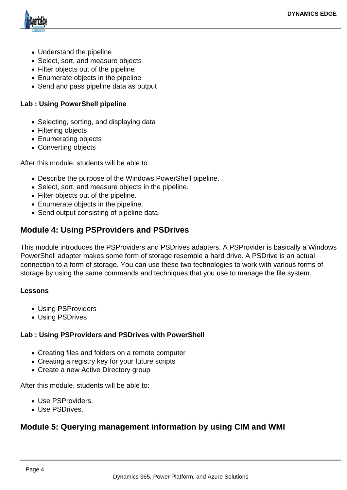

- Understand the pipeline
- Select, sort, and measure objects
- Filter objects out of the pipeline
- Enumerate objects in the pipeline
- Send and pass pipeline data as output

### **Lab : Using PowerShell pipeline**

- Selecting, sorting, and displaying data
- Filtering objects
- Enumerating objects
- Converting objects

After this module, students will be able to:

- Describe the purpose of the Windows PowerShell pipeline.
- Select, sort, and measure objects in the pipeline.
- Filter objects out of the pipeline.
- Enumerate objects in the pipeline.
- Send output consisting of pipeline data.

## **Module 4: Using PSProviders and PSDrives**

This module introduces the PSProviders and PSDrives adapters. A PSProvider is basically a Windows PowerShell adapter makes some form of storage resemble a hard drive. A PSDrive is an actual connection to a form of storage. You can use these two technologies to work with various forms of storage by using the same commands and techniques that you use to manage the file system.

#### **Lessons**

- Using PSProviders
- Using PSDrives

#### **Lab : Using PSProviders and PSDrives with PowerShell**

- Creating files and folders on a remote computer
- Creating a registry key for your future scripts
- Create a new Active Directory group

After this module, students will be able to:

- Use PSProviders.
- Use PSDrives.

## **Module 5: Querying management information by using CIM and WMI**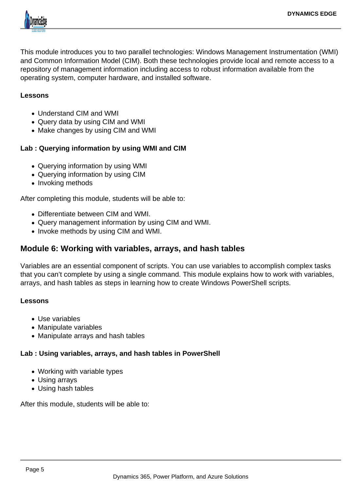

This module introduces you to two parallel technologies: Windows Management Instrumentation (WMI) and Common Information Model (CIM). Both these technologies provide local and remote access to a repository of management information including access to robust information available from the operating system, computer hardware, and installed software.

#### **Lessons**

- Understand CIM and WMI
- Query data by using CIM and WMI
- Make changes by using CIM and WMI

### **Lab : Querying information by using WMI and CIM**

- Querying information by using WMI
- Querying information by using CIM
- Invoking methods

After completing this module, students will be able to:

- Differentiate between CIM and WMI.
- Query management information by using CIM and WMI.
- Invoke methods by using CIM and WMI.

## **Module 6: Working with variables, arrays, and hash tables**

Variables are an essential component of scripts. You can use variables to accomplish complex tasks that you can't complete by using a single command. This module explains how to work with variables, arrays, and hash tables as steps in learning how to create Windows PowerShell scripts.

#### **Lessons**

- Use variables
- Manipulate variables
- Manipulate arrays and hash tables

#### **Lab : Using variables, arrays, and hash tables in PowerShell**

- Working with variable types
- Using arrays
- Using hash tables

After this module, students will be able to: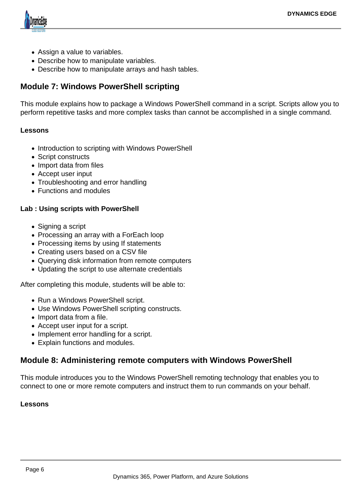

- Assign a value to variables.
- Describe how to manipulate variables.
- Describe how to manipulate arrays and hash tables.

## **Module 7: Windows PowerShell scripting**

This module explains how to package a Windows PowerShell command in a script. Scripts allow you to perform repetitive tasks and more complex tasks than cannot be accomplished in a single command.

#### **Lessons**

- Introduction to scripting with Windows PowerShell
- Script constructs
- Import data from files
- Accept user input
- Troubleshooting and error handling
- Functions and modules

### **Lab : Using scripts with PowerShell**

- Signing a script
- Processing an array with a ForEach loop
- Processing items by using If statements
- Creating users based on a CSV file
- Querying disk information from remote computers
- Updating the script to use alternate credentials

After completing this module, students will be able to:

- Run a Windows PowerShell script.
- Use Windows PowerShell scripting constructs.
- Import data from a file.
- Accept user input for a script.
- Implement error handling for a script.
- Explain functions and modules.

## **Module 8: Administering remote computers with Windows PowerShell**

This module introduces you to the Windows PowerShell remoting technology that enables you to connect to one or more remote computers and instruct them to run commands on your behalf.

#### **Lessons**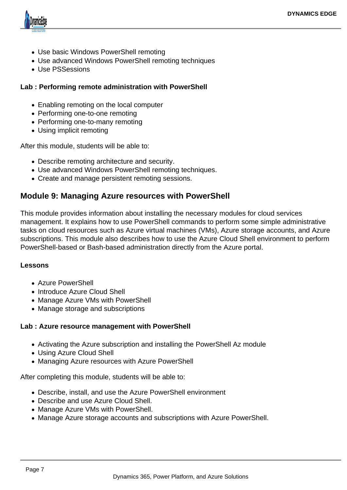

- Use basic Windows PowerShell remoting
- Use advanced Windows PowerShell remoting techniques
- Use PSSessions

### **Lab : Performing remote administration with PowerShell**

- Enabling remoting on the local computer
- Performing one-to-one remoting
- Performing one-to-many remoting
- Using implicit remoting

After this module, students will be able to:

- Describe remoting architecture and security.
- Use advanced Windows PowerShell remoting techniques.
- Create and manage persistent remoting sessions.

## **Module 9: Managing Azure resources with PowerShell**

This module provides information about installing the necessary modules for cloud services management. It explains how to use PowerShell commands to perform some simple administrative tasks on cloud resources such as Azure virtual machines (VMs), Azure storage accounts, and Azure subscriptions. This module also describes how to use the Azure Cloud Shell environment to perform PowerShell-based or Bash-based administration directly from the Azure portal.

#### **Lessons**

- Azure PowerShell
- Introduce Azure Cloud Shell
- Manage Azure VMs with PowerShell
- Manage storage and subscriptions

### **Lab : Azure resource management with PowerShell**

- Activating the Azure subscription and installing the PowerShell Az module
- Using Azure Cloud Shell
- Managing Azure resources with Azure PowerShell

After completing this module, students will be able to:

- Describe, install, and use the Azure PowerShell environment
- Describe and use Azure Cloud Shell.
- Manage Azure VMs with PowerShell.
- Manage Azure storage accounts and subscriptions with Azure PowerShell.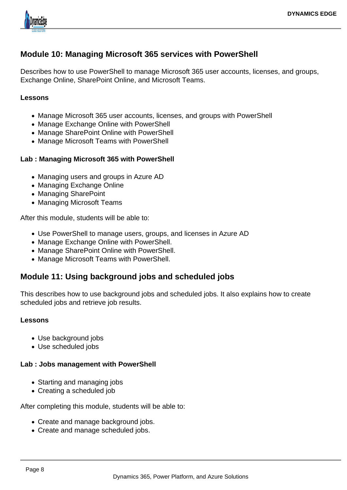

## **Module 10: Managing Microsoft 365 services with PowerShell**

Describes how to use PowerShell to manage Microsoft 365 user accounts, licenses, and groups, Exchange Online, SharePoint Online, and Microsoft Teams.

#### **Lessons**

- Manage Microsoft 365 user accounts, licenses, and groups with PowerShell
- Manage Exchange Online with PowerShell
- Manage SharePoint Online with PowerShell
- Manage Microsoft Teams with PowerShell

### **Lab : Managing Microsoft 365 with PowerShell**

- Managing users and groups in Azure AD
- Managing Exchange Online
- Managing SharePoint
- Managing Microsoft Teams

After this module, students will be able to:

- Use PowerShell to manage users, groups, and licenses in Azure AD
- Manage Exchange Online with PowerShell.
- Manage SharePoint Online with PowerShell.
- Manage Microsoft Teams with PowerShell.

## **Module 11: Using background jobs and scheduled jobs**

This describes how to use background jobs and scheduled jobs. It also explains how to create scheduled jobs and retrieve job results.

#### **Lessons**

- Use background jobs
- Use scheduled jobs

#### **Lab : Jobs management with PowerShell**

- Starting and managing jobs
- Creating a scheduled job

After completing this module, students will be able to:

- Create and manage background jobs.
- Create and manage scheduled jobs.